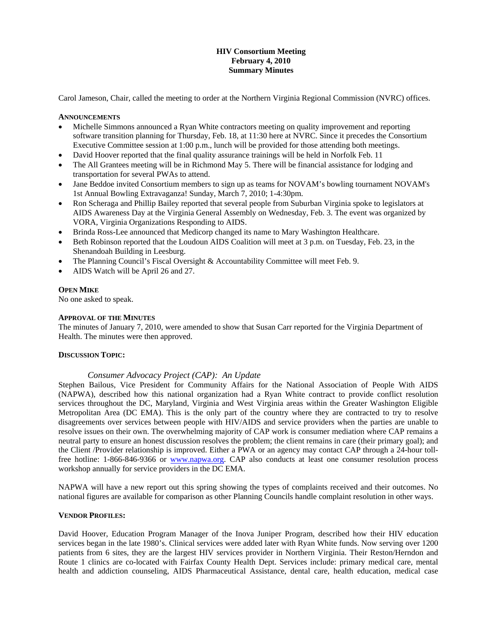# **HIV Consortium Meeting February 4, 2010 Summary Minutes**

Carol Jameson, Chair, called the meeting to order at the Northern Virginia Regional Commission (NVRC) offices.

#### **ANNOUNCEMENTS**

- Michelle Simmons announced a Ryan White contractors meeting on quality improvement and reporting software transition planning for Thursday, Feb. 18, at 11:30 here at NVRC. Since it precedes the Consortium Executive Committee session at 1:00 p.m., lunch will be provided for those attending both meetings.
- David Hoover reported that the final quality assurance trainings will be held in Norfolk Feb. 11
- The All Grantees meeting will be in Richmond May 5. There will be financial assistance for lodging and transportation for several PWAs to attend.
- Jane Beddoe invited Consortium members to sign up as teams for NOVAM's bowling tournament NOVAM's 1st Annual Bowling Extravaganza! Sunday, March 7, 2010; 1-4:30pm.
- Ron Scheraga and Phillip Bailey reported that several people from Suburban Virginia spoke to legislators at AIDS Awareness Day at the Virginia General Assembly on Wednesday, Feb. 3. The event was organized by VORA, Virginia Organizations Responding to AIDS.
- Brinda Ross-Lee announced that Medicorp changed its name to Mary Washington Healthcare.
- Beth Robinson reported that the Loudoun AIDS Coalition will meet at 3 p.m. on Tuesday, Feb. 23, in the Shenandoah Building in Leesburg.
- The Planning Council's Fiscal Oversight & Accountability Committee will meet Feb. 9.
- AIDS Watch will be April 26 and 27.

## **OPEN MIKE**

No one asked to speak.

## **APPROVAL OF THE MINUTES**

The minutes of January 7, 2010, were amended to show that Susan Carr reported for the Virginia Department of Health. The minutes were then approved.

#### **DISCUSSION TOPIC:**

## *Consumer Advocacy Project (CAP): An Update*

Stephen Bailous, Vice President for Community Affairs for the National Association of People With AIDS (NAPWA), described how this national organization had a Ryan White contract to provide conflict resolution services throughout the DC, Maryland, Virginia and West Virginia areas within the Greater Washington Eligible Metropolitan Area (DC EMA). This is the only part of the country where they are contracted to try to resolve disagreements over services between people with HIV/AIDS and service providers when the parties are unable to resolve issues on their own. The overwhelming majority of CAP work is consumer mediation where CAP remains a neutral party to ensure an honest discussion resolves the problem; the client remains in care (their primary goal); and the Client /Provider relationship is improved. Either a PWA or an agency may contact CAP through a 24-hour tollfree hotline: 1-866-846-9366 or [www.napwa.org.](http://www.napwa.org/) CAP also conducts at least one consumer resolution process workshop annually for service providers in the DC EMA.

NAPWA will have a new report out this spring showing the types of complaints received and their outcomes. No national figures are available for comparison as other Planning Councils handle complaint resolution in other ways.

#### **VENDOR PROFILES:**

David Hoover, Education Program Manager of the Inova Juniper Program, described how their HIV education services began in the late 1980's. Clinical services were added later with Ryan White funds. Now serving over 1200 patients from 6 sites, they are the largest HIV services provider in Northern Virginia. Their Reston/Herndon and Route 1 clinics are co-located with Fairfax County Health Dept. Services include: primary medical care, mental health and addiction counseling, AIDS Pharmaceutical Assistance, dental care, health education, medical case